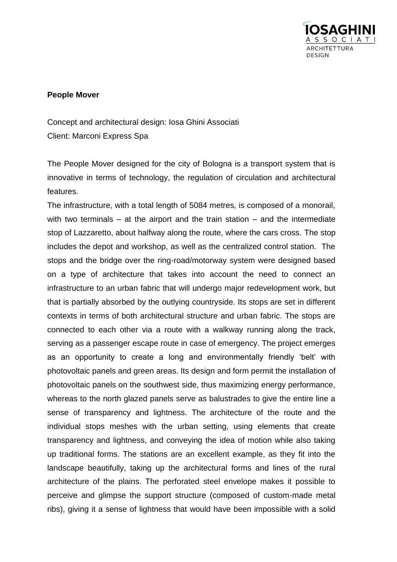

## **People Mover**

Concept and architectural design: Iosa Ghini Associati Client: Marconi Express Spa

The People Mover designed for the city of Bologna is a transport system that is innovative in terms of technology, the regulation of circulation and architectural features.

The infrastructure, with a total length of 5084 metres, is composed of a monorail, with two terminals – at the airport and the train station – and the intermediate stop of Lazzaretto, about halfway along the route, where the cars cross. The stop includes the depot and workshop, as well as the centralized control station. The stops and the bridge over the ring-road/motorway system were designed based on a type of architecture that takes into account the need to connect an infrastructure to an urban fabric that will undergo major redevelopment work, but that is partially absorbed by the outlying countryside. Its stops are set in different contexts in terms of both architectural structure and urban fabric. The stops are connected to each other via a route with a walkway running along the track, serving as a passenger escape route in case of emergency. The project emerges as an opportunity to create a long and environmentally friendly 'belt' with photovoltaic panels and green areas. Its design and form permit the installation of photovoltaic panels on the southwest side, thus maximizing energy performance, whereas to the north glazed panels serve as balustrades to give the entire line a sense of transparency and lightness. The architecture of the route and the individual stops meshes with the urban setting, using elements that create transparency and lightness, and conveying the idea of motion while also taking up traditional forms. The stations are an excellent example, as they fit into the landscape beautifully, taking up the architectural forms and lines of the rural architecture of the plains. The perforated steel envelope makes it possible to perceive and glimpse the support structure (composed of custom-made metal ribs), giving it a sense of lightness that would have been impossible with a solid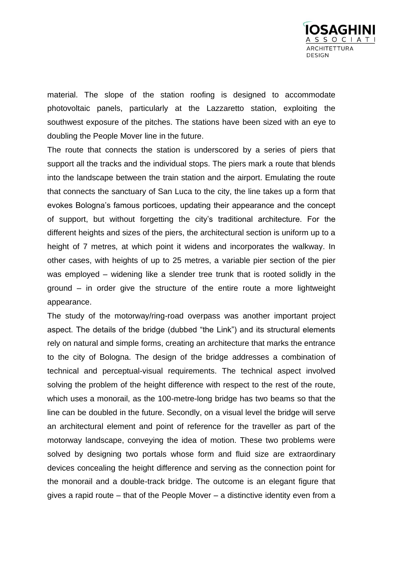

material. The slope of the station roofing is designed to accommodate photovoltaic panels, particularly at the Lazzaretto station, exploiting the southwest exposure of the pitches. The stations have been sized with an eye to doubling the People Mover line in the future.

The route that connects the station is underscored by a series of piers that support all the tracks and the individual stops. The piers mark a route that blends into the landscape between the train station and the airport. Emulating the route that connects the sanctuary of San Luca to the city, the line takes up a form that evokes Bologna's famous porticoes, updating their appearance and the concept of support, but without forgetting the city's traditional architecture. For the different heights and sizes of the piers, the architectural section is uniform up to a height of 7 metres, at which point it widens and incorporates the walkway. In other cases, with heights of up to 25 metres, a variable pier section of the pier was employed – widening like a slender tree trunk that is rooted solidly in the ground – in order give the structure of the entire route a more lightweight appearance.

The study of the motorway/ring-road overpass was another important project aspect. The details of the bridge (dubbed "the Link") and its structural elements rely on natural and simple forms, creating an architecture that marks the entrance to the city of Bologna. The design of the bridge addresses a combination of technical and perceptual-visual requirements. The technical aspect involved solving the problem of the height difference with respect to the rest of the route, which uses a monorail, as the 100-metre-long bridge has two beams so that the line can be doubled in the future. Secondly, on a visual level the bridge will serve an architectural element and point of reference for the traveller as part of the motorway landscape, conveying the idea of motion. These two problems were solved by designing two portals whose form and fluid size are extraordinary devices concealing the height difference and serving as the connection point for the monorail and a double-track bridge. The outcome is an elegant figure that gives a rapid route – that of the People Mover – a distinctive identity even from a